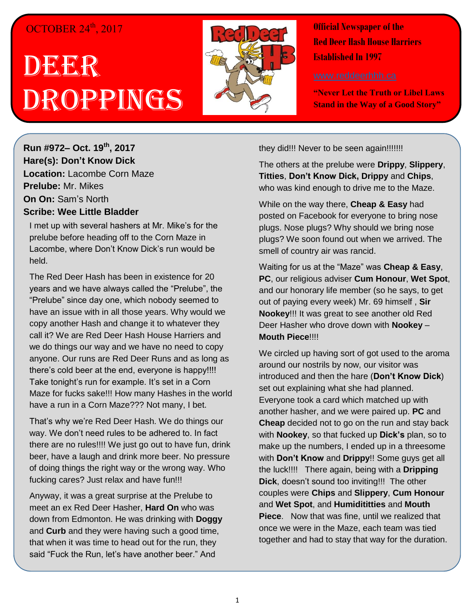## OCTOBER 24<sup>th</sup>, 2017

## DEER Droppings



**Official Newspaper of the Red Deer Hash House Harriers Established In 1997** 

**"Never Let the Truth or Libel Laws Stand in the Way of a Good Story"**

**Run #972– Oct. 19th , 2017 Hare(s): Don't Know Dick Location:** Lacombe Corn Maze **Prelube:** Mr. Mikes **On On:** Sam's North **Scribe: Wee Little Bladder**

I met up with several hashers at Mr. Mike's for the prelube before heading off to the Corn Maze in Lacombe, where Don't Know Dick's run would be held.

The Red Deer Hash has been in existence for 20 years and we have always called the "Prelube", the "Prelube" since day one, which nobody seemed to have an issue with in all those years. Why would we copy another Hash and change it to whatever they call it? We are Red Deer Hash House Harriers and we do things our way and we have no need to copy anyone. Our runs are Red Deer Runs and as long as there's cold beer at the end, everyone is happy!!!! Take tonight's run for example. It's set in a Corn Maze for fucks sake!!! How many Hashes in the world have a run in a Corn Maze??? Not many, I bet.

That's why we're Red Deer Hash. We do things our way. We don't need rules to be adhered to. In fact there are no rules!!!! We just go out to have fun, drink beer, have a laugh and drink more beer. No pressure of doing things the right way or the wrong way. Who fucking cares? Just relax and have fun!!!

Anyway, it was a great surprise at the Prelube to meet an ex Red Deer Hasher, **Hard On** who was down from Edmonton. He was drinking with **Doggy** and **Curb** and they were having such a good time, that when it was time to head out for the run, they said "Fuck the Run, let's have another beer." And

they did!!! Never to be seen again!!!!!!!!

The others at the prelube were **Drippy**, **Slippery**, **Titties**, **Don't Know Dick, Drippy** and **Chips**, who was kind enough to drive me to the Maze.

While on the way there, **Cheap & Easy** had posted on Facebook for everyone to bring nose plugs. Nose plugs? Why should we bring nose plugs? We soon found out when we arrived. The smell of country air was rancid.

Waiting for us at the "Maze" was **Cheap & Easy**, **PC**, our religious adviser **Cum Honour**, **Wet Spot**, and our honorary life member (so he says, to get out of paying every week) Mr. 69 himself , **Sir Nookey**!!! It was great to see another old Red Deer Hasher who drove down with **Nookey** – **Mouth Piece**!!!!

We circled up having sort of got used to the aroma around our nostrils by now, our visitor was introduced and then the hare (**Don't Know Dick**) set out explaining what she had planned. Everyone took a card which matched up with another hasher, and we were paired up. **PC** and **Cheap** decided not to go on the run and stay back with **Nookey**, so that fucked up **Dick's** plan, so to make up the numbers, I ended up in a threesome with **Don't Know** and **Drippy**!! Some guys get all the luck!!!! There again, being with a **Dripping Dick**, doesn't sound too inviting!!! The other couples were **Chips** and **Slippery**, **Cum Honour**  and **Wet Spot**, and **Humidititties** and **Mouth Piece**. Now that was fine, until we realized that once we were in the Maze, each team was tied together and had to stay that way for the duration.